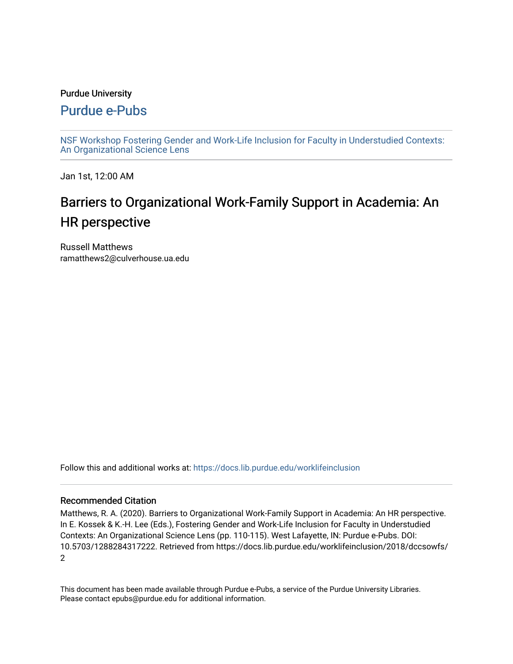## Purdue University

# [Purdue e-Pubs](https://docs.lib.purdue.edu/)

[NSF Workshop Fostering Gender and Work-Life Inclusion for Faculty in Understudied Contexts:](https://docs.lib.purdue.edu/worklifeinclusion)  [An Organizational Science Lens](https://docs.lib.purdue.edu/worklifeinclusion)

Jan 1st, 12:00 AM

# Barriers to Organizational Work-Family Support in Academia: An HR perspective

Russell Matthews ramatthews2@culverhouse.ua.edu

Follow this and additional works at: [https://docs.lib.purdue.edu/worklifeinclusion](https://docs.lib.purdue.edu/worklifeinclusion?utm_source=docs.lib.purdue.edu%2Fworklifeinclusion%2F2018%2Fdccsowfs%2F2&utm_medium=PDF&utm_campaign=PDFCoverPages) 

# Recommended Citation

Matthews, R. A. (2020). Barriers to Organizational Work-Family Support in Academia: An HR perspective. In E. Kossek & K.-H. Lee (Eds.), Fostering Gender and Work-Life Inclusion for Faculty in Understudied Contexts: An Organizational Science Lens (pp. 110-115). West Lafayette, IN: Purdue e-Pubs. DOI: 10.5703/1288284317222. Retrieved from https://docs.lib.purdue.edu/worklifeinclusion/2018/dccsowfs/ 2

This document has been made available through Purdue e-Pubs, a service of the Purdue University Libraries. Please contact epubs@purdue.edu for additional information.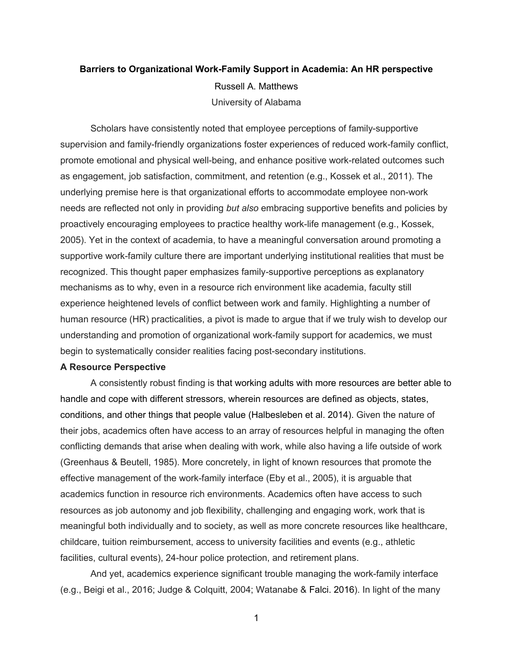# **Barriers to Organizational Work-Family Support in Academia: An HR perspective**  Russell A. Matthews University of Alabama

 Scholars have consistently noted that employee perceptions of family-supportive promote emotional and physical well-being, and enhance positive work-related outcomes such as engagement, job satisfaction, commitment, and retention (e.g., Kossek et al., 2011). The proactively encouraging employees to practice healthy work-life management (e.g., Kossek, 2005). Yet in the context of academia, to have a meaningful conversation around promoting a supportive work-family culture there are important underlying institutional realities that must be mechanisms as to why, even in a resource rich environment like academia, faculty still experience heightened levels of conflict between work and family. Highlighting a number of human resource (HR) practicalities, a pivot is made to argue that if we truly wish to develop our supervision and family-friendly organizations foster experiences of reduced work-family conflict, underlying premise here is that organizational efforts to accommodate employee non-work needs are reflected not only in providing *but also* embracing supportive benefits and policies by recognized. This thought paper emphasizes family-supportive perceptions as explanatory understanding and promotion of organizational work-family support for academics, we must begin to systematically consider realities facing post-secondary institutions.

#### **A Resource Perspective**

 A consistently robust finding is that working adults with more resources are better able to handle and cope with different stressors, wherein resources are defined as objects, states, conditions, and other things that people value (Halbesleben et al. 2014). Given the nature of effective management of the work-family interface (Eby et al., 2005), it is arguable that meaningful both individually and to society, as well as more concrete resources like healthcare, their jobs, academics often have access to an array of resources helpful in managing the often conflicting demands that arise when dealing with work, while also having a life outside of work (Greenhaus & Beutell, 1985). More concretely, in light of known resources that promote the academics function in resource rich environments. Academics often have access to such resources as job autonomy and job flexibility, challenging and engaging work, work that is childcare, tuition reimbursement, access to university facilities and events (e.g., athletic facilities, cultural events), 24-hour police protection, and retirement plans.

 And yet, academics experience significant trouble managing the work-family interface (e.g., Beigi et al., 2016; Judge & Colquitt, 2004; Watanabe & Falci. 2016). In light of the many

1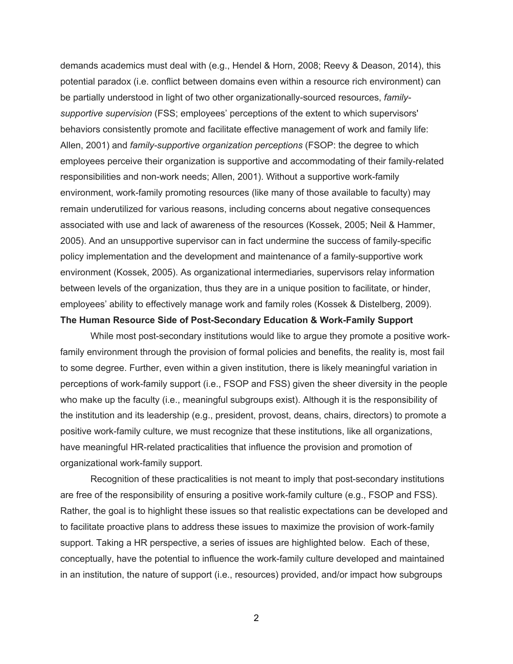demands academics must deal with (e.g., Hendel & Horn, 2008; Reevy & Deason, 2014), this potential paradox (i.e. conflict between domains even within a resource rich environment) can be partially understood in light of two other organizationally-sourced resources, *family-* behaviors consistently promote and facilitate effective management of work and family life: Allen, 2001) and *family-supportive organization perceptions* (FSOP: the degree to which employees perceive their organization is supportive and accommodating of their family-related associated with use and lack of awareness of the resources (Kossek, 2005; Neil & Hammer, 2005). And an unsupportive supervisor can in fact undermine the success of family-specific environment (Kossek, 2005). As organizational intermediaries, supervisors relay information between levels of the organization, thus they are in a unique position to facilitate, or hinder, employees' ability to effectively manage work and family roles (Kossek & Distelberg, 2009).  **The Human Resource Side of Post-Secondary Education & Work-Family Support**  *supportive supervision* (FSS; employees' perceptions of the extent to which supervisors' responsibilities and non-work needs; Allen, 2001). Without a supportive work-family environment, work-family promoting resources (like many of those available to faculty) may remain underutilized for various reasons, including concerns about negative consequences policy implementation and the development and maintenance of a family-supportive work

 While most post-secondary institutions would like to argue they promote a positive work- family environment through the provision of formal policies and benefits, the reality is, most fail who make up the faculty (i.e., meaningful subgroups exist). Although it is the responsibility of to some degree. Further, even within a given institution, there is likely meaningful variation in perceptions of work-family support (i.e., FSOP and FSS) given the sheer diversity in the people the institution and its leadership (e.g., president, provost, deans, chairs, directors) to promote a positive work-family culture, we must recognize that these institutions, like all organizations, have meaningful HR-related practicalities that influence the provision and promotion of organizational work-family support.

 Recognition of these practicalities is not meant to imply that post-secondary institutions Rather, the goal is to highlight these issues so that realistic expectations can be developed and support. Taking a HR perspective, a series of issues are highlighted below. Each of these, in an institution, the nature of support (i.e., resources) provided, and/or impact how subgroups are free of the responsibility of ensuring a positive work-family culture (e.g., FSOP and FSS). to facilitate proactive plans to address these issues to maximize the provision of work-family conceptually, have the potential to influence the work-family culture developed and maintained

2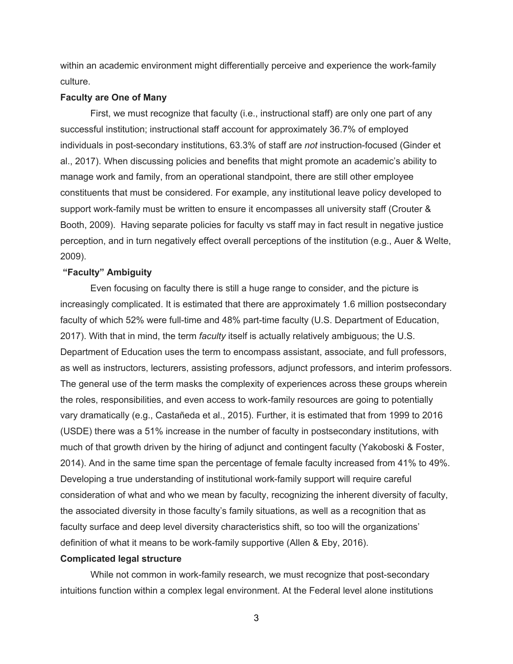within an academic environment might differentially perceive and experience the work-family culture.

#### **Faculty are One of Many**

 First, we must recognize that faculty (i.e., instructional staff) are only one part of any successful institution; instructional staff account for approximately 36.7% of employed individuals in post-secondary institutions, 63.3% of staff are *not* instruction-focused (Ginder et al., 2017). When discussing policies and benefits that might promote an academic's ability to manage work and family, from an operational standpoint, there are still other employee constituents that must be considered. For example, any institutional leave policy developed to support work-family must be written to ensure it encompasses all university staff (Crouter & Booth, 2009). Having separate policies for faculty vs staff may in fact result in negative justice perception, and in turn negatively effect overall perceptions of the institution (e.g., Auer & Welte, 2009).

## **"Faculty" Ambiguity**

 increasingly complicated. It is estimated that there are approximately 1.6 million postsecondary faculty of which 52% were full-time and 48% part-time faculty (U.S. Department of Education, 2017). With that in mind, the term *faculty* itself is actually relatively ambiguous; the U.S. Department of Education uses the term to encompass assistant, associate, and full professors, as well as instructors, lecturers, assisting professors, adjunct professors, and interim professors. The general use of the term masks the complexity of experiences across these groups wherein much of that growth driven by the hiring of adjunct and contingent faculty (Yakoboski & Foster, 2014). And in the same time span the percentage of female faculty increased from 41% to 49%. Developing a true understanding of institutional work-family support will require careful consideration of what and who we mean by faculty, recognizing the inherent diversity of faculty, definition of what it means to be work-family supportive (Allen & Eby, 2016). Even focusing on faculty there is still a huge range to consider, and the picture is the roles, responsibilities, and even access to work-family resources are going to potentially vary dramatically (e.g., Castañeda et al., 2015). Further, it is estimated that from 1999 to 2016 (USDE) there was a 51% increase in the number of faculty in postsecondary institutions, with the associated diversity in those faculty's family situations, as well as a recognition that as faculty surface and deep level diversity characteristics shift, so too will the organizations'

#### **Complicated legal structure**

 While not common in work-family research, we must recognize that post-secondary intuitions function within a complex legal environment. At the Federal level alone institutions

3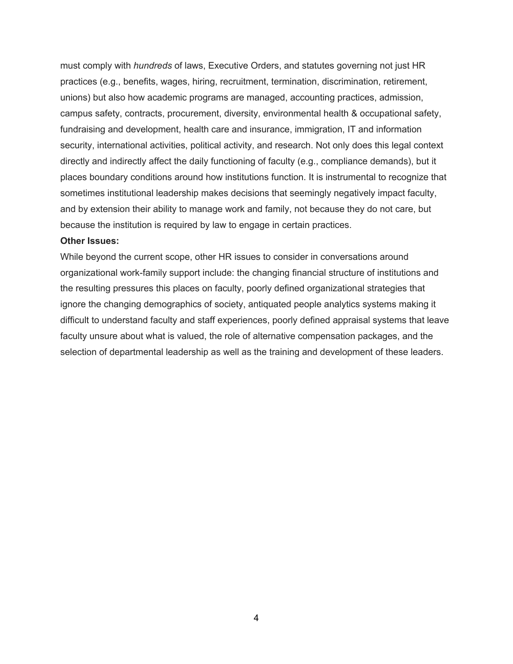must comply with *hundreds* of laws, Executive Orders, and statutes governing not just HR practices (e.g., benefits, wages, hiring, recruitment, termination, discrimination, retirement, unions) but also how academic programs are managed, accounting practices, admission, campus safety, contracts, procurement, diversity, environmental health & occupational safety, security, international activities, political activity, and research. Not only does this legal context directly and indirectly affect the daily functioning of faculty (e.g., compliance demands), but it places boundary conditions around how institutions function. It is instrumental to recognize that sometimes institutional leadership makes decisions that seemingly negatively impact faculty, and by extension their ability to manage work and family, not because they do not care, but fundraising and development, health care and insurance, immigration, IT and information because the institution is required by law to engage in certain practices.

## **Other Issues:**

 While beyond the current scope, other HR issues to consider in conversations around ignore the changing demographics of society, antiquated people analytics systems making it selection of departmental leadership as well as the training and development of these leaders. organizational work-family support include: the changing financial structure of institutions and the resulting pressures this places on faculty, poorly defined organizational strategies that difficult to understand faculty and staff experiences, poorly defined appraisal systems that leave faculty unsure about what is valued, the role of alternative compensation packages, and the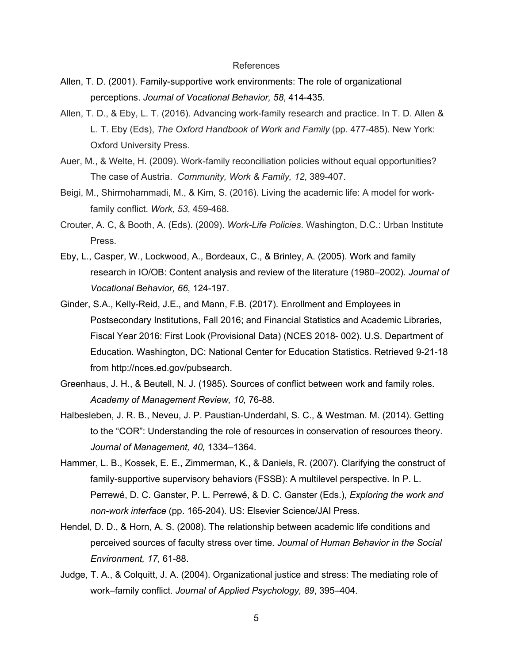#### References

- Allen, T. D. (2001). Family-supportive work environments: The role of organizational  perceptions. *Journal of Vocational Behavior, 58*, 414-435.
- Allen, T. D., & Eby, L. T. (2016). Advancing work-family research and practice. In T. D. Allen & L. T. Eby (Eds), *The Oxford Handbook of Work and Family* (pp. 477-485). New York: Oxford University Press.
- Auer, M., & Welte, H. (2009). Work-family reconciliation policies without equal opportunities? The case of Austria. *Community, Work & Family, 12*, 389-407.
- Beigi, M., Shirmohammadi, M., & Kim, S. (2016). Living the academic life: A model for workfamily conflict. *Work, 53*, 459-468.
- Crouter, A. C, & Booth, A. (Eds). (2009). *Work-Life Policies*. Washington, D.C.: Urban Institute Press.
- Eby, L., Casper, W., Lockwood, A., Bordeaux, C., & Brinley, A. (2005). Work and family  research in IO/OB: Content analysis and review of the literature (1980–2002). *Journal of Vocational Behavior, 66*, 124-197.
- Ginder, S.A., Kelly-Reid, J.E., and Mann, F.B. (2017). Enrollment and Employees in Postsecondary Institutions, Fall 2016; and Financial Statistics and Academic Libraries, Fiscal Year 2016: First Look (Provisional Data) (NCES 2018- 002). U.S. Department of Education. Washington, DC: National Center for Education Statistics. Retrieved 9-21-18 from<http://nces.ed.gov/pubsearch>.
- Greenhaus, J. H., & Beutell, N. J. (1985). Sources of conflict between work and family roles.  *Academy of Management Review, 10,* 76-88.
- Halbesleben, J. R. B., Neveu, J. P. Paustian-Underdahl, S. C., & Westman. M. (2014). Getting  *Journal of Management, 40,* 1334–1364. to the "COR": Understanding the role of resources in conservation of resources theory.
- Hammer, L. B., Kossek, E. E., Zimmerman, K., & Daniels, R. (2007). Clarifying the construct of family-supportive supervisory behaviors (FSSB): A multilevel perspective. In P. L. Perrewé, D. C. Ganster, P. L. Perrewé, & D. C. Ganster (Eds.), *Exploring the work and non-work interface* (pp. 165-204). US: Elsevier Science/JAI Press.
- Hendel, D. D., & Horn, A. S. (2008). The relationship between academic life conditions and perceived sources of faculty stress over time*. Journal of Human Behavior in the Social Environment, 17*, 61-88.
- Judge, T. A., & Colquitt, J. A. (2004). Organizational justice and stress: The mediating role of  work–family conflict. *Journal of Applied Psychology, 89*, 395–404.